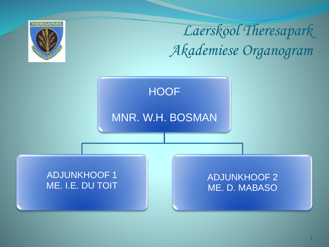

*Laerskool Theresapark Akademiese Organogram*

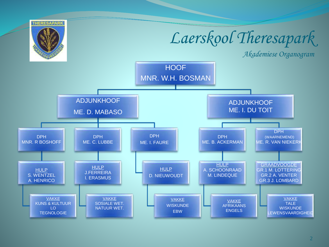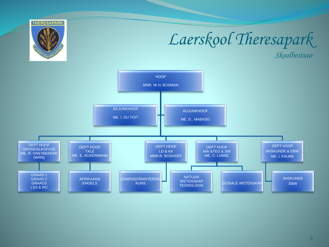

## Laerskool Theresapark

Skoolbestuur

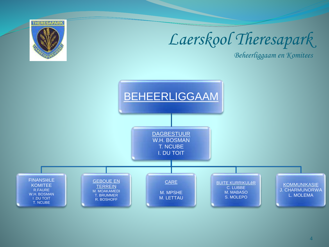

## Laerskool Theresapark

Beheerliggaam en Komitees